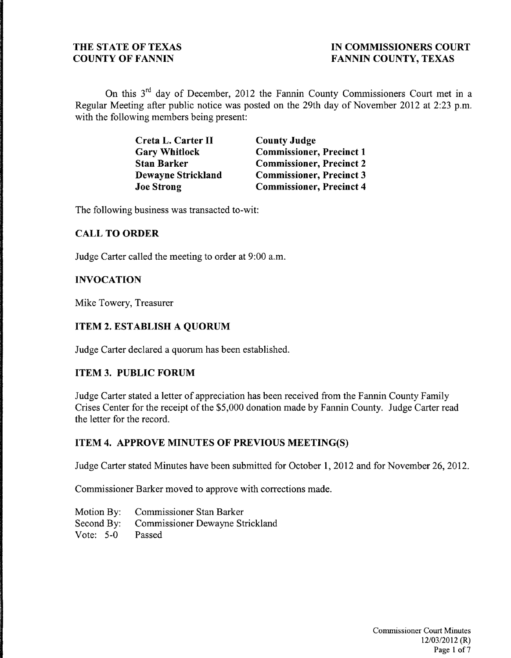On this 3<sup>rd</sup> day of December, 2012 the Fannin County Commissioners Court met in a Regular Meeting after public notice was posted on the 29th day of November 2012 at 2:23 p.m. with the following members being present:

| Creta L. Carter II        | <b>County Judge</b>             |
|---------------------------|---------------------------------|
| <b>Gary Whitlock</b>      | <b>Commissioner, Precinct 1</b> |
| <b>Stan Barker</b>        | <b>Commissioner, Precinct 2</b> |
| <b>Dewayne Strickland</b> | <b>Commissioner, Precinct 3</b> |
| <b>Joe Strong</b>         | <b>Commissioner, Precinct 4</b> |

The following business was transacted to-wit:

#### **CALL TO ORDER**

Judge Carter called the meeting to order at 9:00 a.m.

#### **INVOCATION**

Mike Towery, Treasurer

#### **ITEM 2. ESTABLISH A QUORUM**

Judge Carter declared a quorum has been established.

#### **ITEM 3. PUBLIC FORUM**

Judge Carter stated a letter of appreciation has been received from the Fannin County Family Crises Center for the receipt of the \$5,000 donation made by Fannin County. Judge Carter read the letter for the record.

#### **ITEM 4. APPROVE MINUTES OF PREVIOUS MEETING(S)**

Judge Carter stated Minutes have been submitted for October 1,2012 and for November 26,2012.

Commissioner Barker moved to approve with corrections made.

- Motion By: Commissioner Stan Barker Second By: Commissioner Dewayne Strickland
- Vote: 5-0 Passed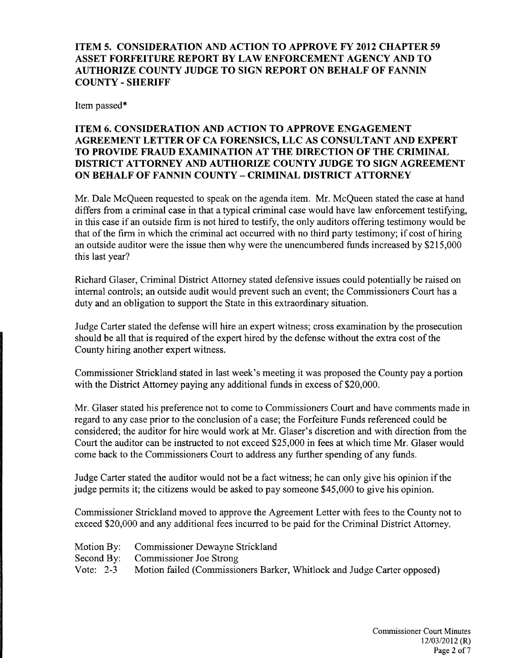ITEM 5. CONSIDERATION AND ACTION TO APPROVE FY 2012 CHAPTER 59 ASSET FORFEITURE REPORT BY LA W ENFORCEMENT AGENCY AND TO AUTHORIZE COUNTY JUDGE TO SIGN REPORT ON BEHALF OF FANNIN COUNTY - SHERIFF

Item passed\*

# ITEM 6. CONSIDERATION AND ACTION TO APPROVE ENGAGEMENT AGREEMENT LETTER OF CA FORENSICS, LLC AS CONSULTANT AND EXPERT TO PROVIDE FRAUD EXAMINATION AT THE DIRECTION OF THE CRIMINAL DISTRICT ATTORNEY AND AUTHORIZE COUNTY JUDGE TO SIGN AGREEMENT ON BEHALF OF FANNIN COUNTY - CRIMINAL DISTRICT ATTORNEY

Mr. Dale McQueen requested to speak on the agenda item. Mr. McQueen stated the case at hand differs from a criminal case in that a typical criminal case would have law enforcement testifying, in this case if an outside finn is not hired to testify, the only auditors offering testimony would be that of the firm in which the criminal act occurred with no third party testimony; if cost of hiring an outside auditor were the issue then why were the unencumbered funds increased by \$215,000 this last year?

Richard Glaser, Criminal District Attorney stated defensive issues could potentially be raised on internal controls; an outside audit would prevent such an event; the Commissioners Court has a duty and an obligation to support the State in this extraordinary situation.

Judge Carter stated the defense will hire an expert witness; cross examination by the prosecution should be all that is required of the expert hired by the defense without the extra cost of the County hiring another expert witness.

Commissioner Strickland stated in last week's meeting it was proposed the County pay a portion with the District Attorney paying any additional funds in excess of \$20,000.

Mr. Glaser stated his preference not to come to Commissioners Court and have comments made in regard to any case prior to the conclusion of a case; the Forfeiture Funds referenced could be considered; the auditor for hire would work at Mr. Glaser's discretion and with direction from the Court the auditor can be instructed to not exceed \$25,000 in fees at which time Mr. Glaser would come back to the Commissioners Court to address any further spending of any funds.

Judge Carter stated the auditor would not be a fact witness; he can only give his opinion if the judge permits it; the citizens would be asked to pay someone \$45,000 to give his opinion.

Commissioner Strickland moved to approve the Agreement Letter with fees to the County not to exceed \$20,000 and any additional fees incurred to be paid for the Criminal District Attorney.

| Motion By: Commissioner Dewayne Strickland                                        |
|-----------------------------------------------------------------------------------|
| Second By: Commissioner Joe Strong                                                |
| Vote: 2-3 Motion failed (Commissioners Barker, Whitlock and Judge Carter opposed) |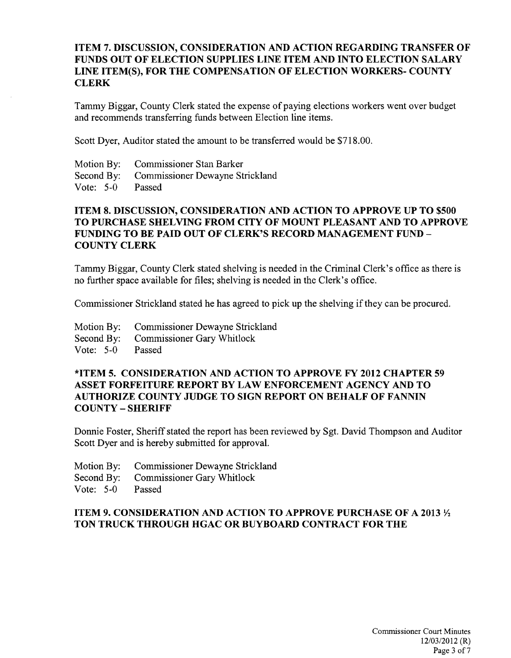#### ITEM 7. DISCUSSION, CONSIDERATION AND ACTION REGARDING TRANSFER OF FUNDS OUT OF ELECTION SUPPLIES LINE ITEM AND INTO ELECTION SALARY LINE ITEM(S), FOR THE COMPENSATION OF ELECTION WORKERS- COUNTY **CLERK**

Tammy Biggar, County Clerk stated the expense of paying elections workers went over budget and recommends transferring funds between Election line items.

Scott Dyer, Auditor stated the amount to be transferred would be \$718.00.

Motion By: Commissioner Stan Barker Second By: Commissioner Dewayne Strickland Vote: 5-0 Passed

# ITEM 8. DISCUSSION, CONSIDERATION AND ACTION TO APPROVE UP TO \$500 TO PURCHASE SHELVING FROM CITY OF MOUNT PLEASANT AND TO APPROVE FUNDING TO BE PAID OUT OF CLERK'S RECORD MANAGEMENT FUND COUNTY CLERK

Tammy Biggar, County Clerk stated shelving is needed in the Criminal Clerk's office as there is no further space available for files; shelving is needed in the Clerk's office.

Commissioner Strickland stated he has agreed to pick up the shelving if they can be procured.

- Motion By: Commissioner Dewayne Strickland
- Second By: Commissioner Gary Whitlock
- Vote: 5-0 Passed

#### \*ITEM 5. CONSIDERATION AND ACTION TO APPROVE FY 2012 CHAPTER 59 ASSET FORFEITURE REPORT BY LAW ENFORCEMENT AGENCY AND TO AUTHORIZE COUNTY JUDGE TO SIGN REPORT ON BEHALF OF FANNIN COUNTY - SHERIFF

Donnie Foster, Sheriff stated the report has been reviewed by Sgt. David Thompson and Auditor Scott Dyer and is hereby submitted for approval.

- Motion By: Commissioner Dewayne Strickland
- Second By: Commissioner Gary Whitlock
- Vote: 5-0 Passed

# ITEM 9. CONSIDERATION AND ACTION TO APPROVE PURCHASE OF A 2013  $\frac{1}{2}$ TON TRUCK THROUGH HGAC OR BUYBOARD CONTRACT FOR THE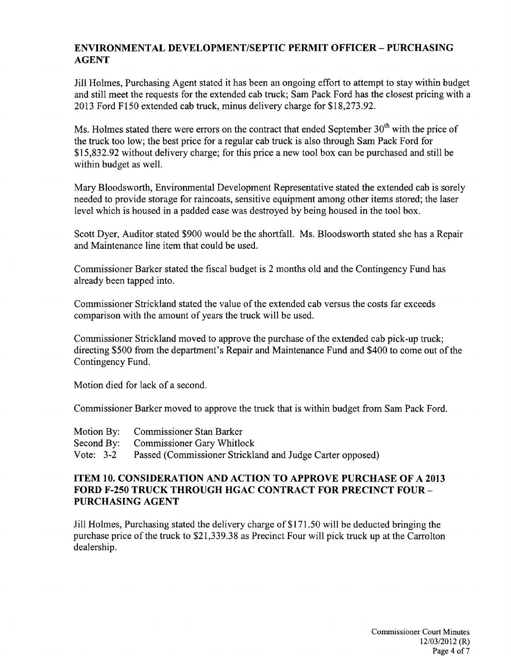# **ENVIRONMENTAL DEVELOPMENT/SEPTIC PERMIT OFFICER - PURCHASING AGENT**

Jill Holmes, Purchasing Agent stated it has been an ongoing effort to attempt to stay within budget and still meet the requests for the extended cab truck; Sam Pack Ford has the closest pricing with a 2013 Ford F150 extended cab truck, minus delivery charge for \$18,273.92.

Ms. Holmes stated there were errors on the contract that ended September  $30<sup>th</sup>$  with the price of the truck too low; the best price for a regular cab truck is also through Sam Pack Ford for \$15,832.92 without delivery charge; for this price a new tool box can be purchased and still be within budget as well.

Mary Bloodsworth, Environmental Development Representative stated the extended cab is sorely needed to provide storage for raincoats, sensitive equipment among other items stored; the laser level which is housed in a padded case was destroyed by being housed in the tool box.

Scott Dyer, Auditor stated \$900 would be the shortfall. Ms. Bloodsworth stated she has a Repair and Maintenance line item that could be used.

Commissioner Barker stated the fiscal budget is 2 months old and the Contingency Fund has already been tapped into.

Commissioner Strickland stated the value ofthe extended cab versus the costs far exceeds comparison with the amount of years the truck will be used.

Commissioner Strickland moved to approve the purchase of the extended cab pick-up truck; directing \$500 from the department's Repair and Maintenance Fund and \$400 to come out of the Contingency Fund.

Motion died for lack of a second.

Commissioner Barker moved to approve the truck that is within budget from Sam Pack Ford.

|             | Motion By: Commissioner Stan Barker                       |
|-------------|-----------------------------------------------------------|
|             | Second By: Commissioner Gary Whitlock                     |
| Vote: $3-2$ | Passed (Commissioner Strickland and Judge Carter opposed) |

## **ITEM 10. CONSIDERATION AND ACTION TO APPROVE PURCHASE OF A 2013 FORD F-2S0 TRUCK THROUGH HGAC CONTRACT FOR PRECINCT FOUR-PURCHASING AGENT**

Jill Holmes, Purchasing stated the delivery charge of \$171.50 will be deducted bringing the purchase price of the truck to \$21,339.38 as Precinct Four will pick truck up at the Carrolton dealership.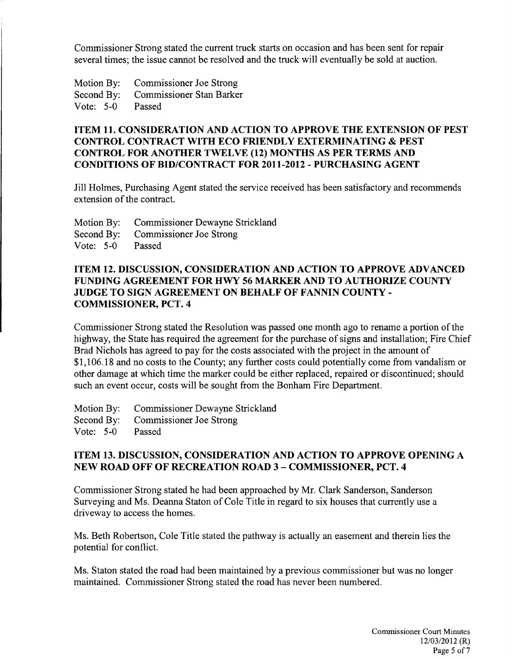Commissioner Strong stated the current truck starts on occasion and has been sent for repair several times; the issue cannot be resolved and the truck will eventually be sold at auction.

Motion By: Commissioner Joe Strong Second By: Commissioner Stan Barker Vote: 5-0 Passed

# ITEM 11. CONSIDERATION AND ACTION TO APPROVE THE EXTENSION OF PEST CONTROL CONTRACT WITH ECO FRIENDLY EXTERMINATING & PEST CONTROL FOR ANOTHER TWELVE (12) MONTHS AS PER TERMS AND CONDITIONS OF BID/CONTRACT FOR 2011-2012 - PURCHASING AGENT

Jill Holmes, Purchasing Agent stated the service received has been satisfactory and recommends extension of the contract.

Motion By: Commissioner Dewayne Strickland

Second By: Commissioner Joe Strong

Vote: 5-0 Passed

# ITEM 12. DISCUSSION, CONSIDERATION AND ACTION TO APPROVE ADVANCED FUNDING AGREEMENT FOR HWY S6 MARKER AND TO AUTHORIZE COUNTY JUDGE TO SIGN AGREEMENT ON BEHALF OF FANNIN COUNTY COMMISSIONER, PCT. 4

Commissioner Strong stated the Resolution was passed one month ago to rename a portion of the highway, the State has required the agreement for the purchase of signs and installation; Fire Chief Brad Nichols has agreed to pay for the costs associated with the project in the amount of \$1,106.18 and no costs to the County; any further costs could potentially come from vandalism or other damage at which time the marker could be either replaced, repaired or discontinued; should such an event occur, costs will be sought from the Bonham Fire Department.

Motion By: Commissioner Dewayne Strickland

Second By: Commissioner Joe Strong

Vote: 5-0 Passed

# ITEM 13. DISCUSSION, CONSIDERATION AND ACTION TO APPROVE OPENING A NEW ROAD OFF OF RECREATION ROAD 3 - COMMISSIONER, PCT. 4

Commissioner Strong stated he had been approached by Mr. Clark Sanderson, Sanderson Surveying and Ms. Deanna Staton of Cole Title in regard to six houses that currently use a driveway to access the homes.

Ms. Beth Robertson, Cole Title stated the pathway is actually an easement and therein lies the potential for conflict.

Ms. Staton stated the road had been maintained by a previous commissioner but was no longer maintained. Commissioner Strong stated the road has never been numbered.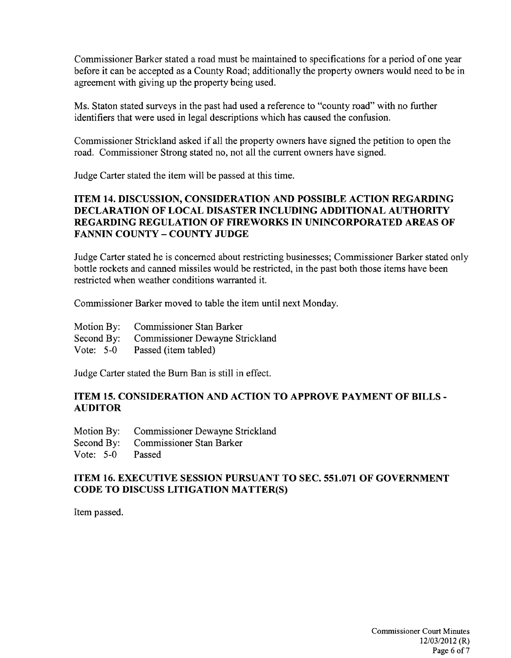Commissioner Barker stated a road must be maintained to specifications for a period of one year before it can be accepted as a County Road; additionally the property owners would need to be in agreement with giving up the property being used.

Ms. Staton stated surveys in the past had used a reference to "county road" with no further identifiers that were used in legal descriptions which has caused the confusion.

Commissioner Strickland asked if all the property owners have signed the petition to open the road. Commissioner Strong stated no, not all the current owners have signed.

Judge Carter stated the item will be passed at this time.

# **ITEM 14. DISCUSSION, CONSIDERATION AND POSSIBLE ACTION REGARDING DECLARATION OF LOCAL DISASTER INCLUDING ADDITIONAL AUTHORITY REGARDING REGULATION OF FIREWORKS IN UNINCORPORATED AREAS OF FANNIN COUNTY - COUNTY JUDGE**

Judge Carter stated he is concerned about restricting businesses; Commissioner Barker stated only bottle rockets and canned missiles would be restricted, in the past both those items have been restricted when weather conditions warranted it.

Commissioner Barker moved to table the item until next Monday.

- Motion By: Commissioner Stan Barker
- Second By: Commissioner Dewayne Strickland
- Vote: 5-0 Passed (item tabled)

Judge Carter stated the Bum Ban is still in effect.

#### **ITEM 15. CONSIDERATION AND ACTION TO APPROVE PAYMENT OF BILLS-AUDITOR**

- Motion By: Commissioner Dewayne Strickland
- Second By: Commissioner Stan Barker
- Vote: 5-0 Passed

# **ITEM 16. EXECUTIVE SESSION PURSUANT TO SEC. 551.071 OF GOVERNMENT CODE TO DISCUSS LITIGATION MATTER(S)**

Item passed.